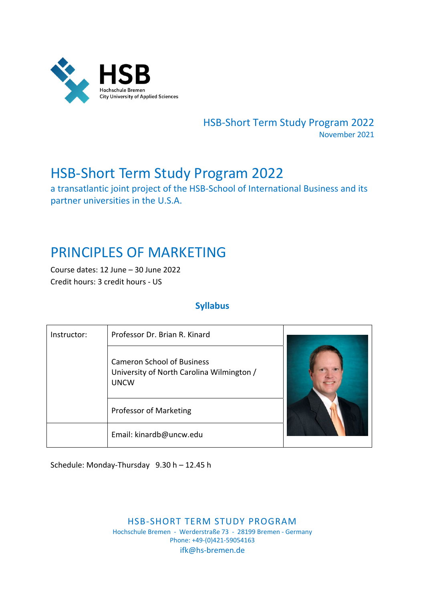

HSB‐Short Term Study Program 2022 November 2021

# HSB‐Short Term Study Program 2022

a transatlantic joint project of the HSB‐School of International Business and its partner universities in the U.S.A.

# PRINCIPLES OF MARKETING

Course dates: 12 June – 30 June 2022 Credit hours: 3 credit hours ‐ US

# **Syllabus**

| Instructor: | Professor Dr. Brian R. Kinard                                                                 |  |  |
|-------------|-----------------------------------------------------------------------------------------------|--|--|
|             | <b>Cameron School of Business</b><br>University of North Carolina Wilmington /<br><b>UNCW</b> |  |  |
|             | Professor of Marketing                                                                        |  |  |
|             | Email: kinardb@uncw.edu                                                                       |  |  |

Schedule: Monday‐Thursday 9.30 h – 12.45 h

HSB‐SHORT TERM STUDY PROGRAM Hochschule Bremen ‐ Werderstraße 73 ‐ 28199 Bremen ‐ Germany Phone: +49‐(0)421‐59054163 ifk@hs‐bremen.de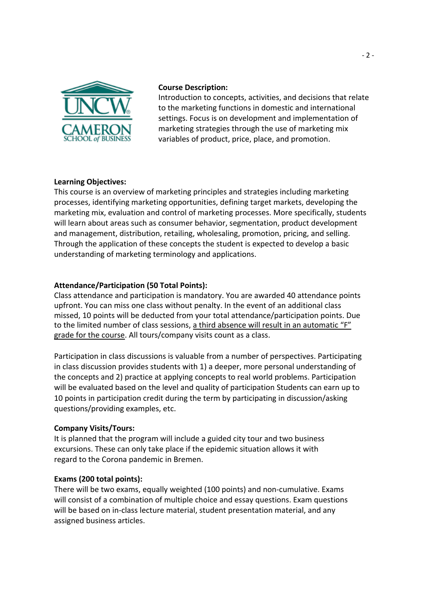

## **Course Description:**

Introduction to concepts, activities, and decisions that relate to the marketing functions in domestic and international settings. Focus is on development and implementation of marketing strategies through the use of marketing mix variables of product, price, place, and promotion.

# **Learning Objectives:**

This course is an overview of marketing principles and strategies including marketing processes, identifying marketing opportunities, defining target markets, developing the marketing mix, evaluation and control of marketing processes. More specifically, students will learn about areas such as consumer behavior, segmentation, product development and management, distribution, retailing, wholesaling, promotion, pricing, and selling. Through the application of these concepts the student is expected to develop a basic understanding of marketing terminology and applications.

# **Attendance/Participation (50 Total Points):**

Class attendance and participation is mandatory. You are awarded 40 attendance points upfront. You can miss one class without penalty. In the event of an additional class missed, 10 points will be deducted from your total attendance/participation points. Due to the limited number of class sessions, a third absence will result in an automatic "F" grade for the course. All tours/company visits count as a class.

Participation in class discussions is valuable from a number of perspectives. Participating in class discussion provides students with 1) a deeper, more personal understanding of the concepts and 2) practice at applying concepts to real world problems. Participation will be evaluated based on the level and quality of participation Students can earn up to 10 points in participation credit during the term by participating in discussion/asking questions/providing examples, etc.

#### **Company Visits/Tours:**

It is planned that the program will include a guided city tour and two business excursions. These can only take place if the epidemic situation allows it with regard to the Corona pandemic in Bremen.

# **Exams (200 total points):**

There will be two exams, equally weighted (100 points) and non‐cumulative. Exams will consist of a combination of multiple choice and essay questions. Exam questions will be based on in-class lecture material, student presentation material, and any assigned business articles.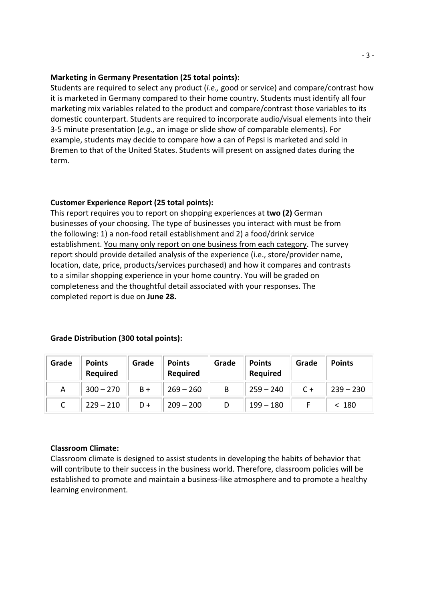#### **Marketing in Germany Presentation (25 total points):**

Students are required to select any product (*i.e.,* good or service) and compare/contrast how it is marketed in Germany compared to their home country. Students must identify all four marketing mix variables related to the product and compare/contrast those variables to its domestic counterpart. Students are required to incorporate audio/visual elements into their 3‐5 minute presentation (*e.g.,* an image or slide show of comparable elements). For example, students may decide to compare how a can of Pepsi is marketed and sold in Bremen to that of the United States. Students will present on assigned dates during the term.

## **Customer Experience Report (25 total points):**

This report requires you to report on shopping experiences at **two (2)** German businesses of your choosing. The type of businesses you interact with must be from the following: 1) a non‐food retail establishment and 2) a food/drink service establishment. You many only report on one business from each category. The survey report should provide detailed analysis of the experience (i.e., store/provider name, location, date, price, products/services purchased) and how it compares and contrasts to a similar shopping experience in your home country. You will be graded on completeness and the thoughtful detail associated with your responses. The completed report is due on **June 28.**

| Grade | <b>Points</b><br><b>Required</b> | Grade | <b>Points</b><br>Required | Grade | <b>Points</b><br><b>Required</b> | Grade | <b>Points</b> |
|-------|----------------------------------|-------|---------------------------|-------|----------------------------------|-------|---------------|
| A     | $300 - 270$                      | $B +$ | $269 - 260$               | B     | $259 - 240$                      | $C +$ | $239 - 230$   |
|       | $229 - 210$                      | $D +$ | $209 - 200$               |       | $199 - 180$                      |       | < 180         |

#### **Grade Distribution (300 total points):**

#### **Classroom Climate:**

Classroom climate is designed to assist students in developing the habits of behavior that will contribute to their success in the business world. Therefore, classroom policies will be established to promote and maintain a business‐like atmosphere and to promote a healthy learning environment.